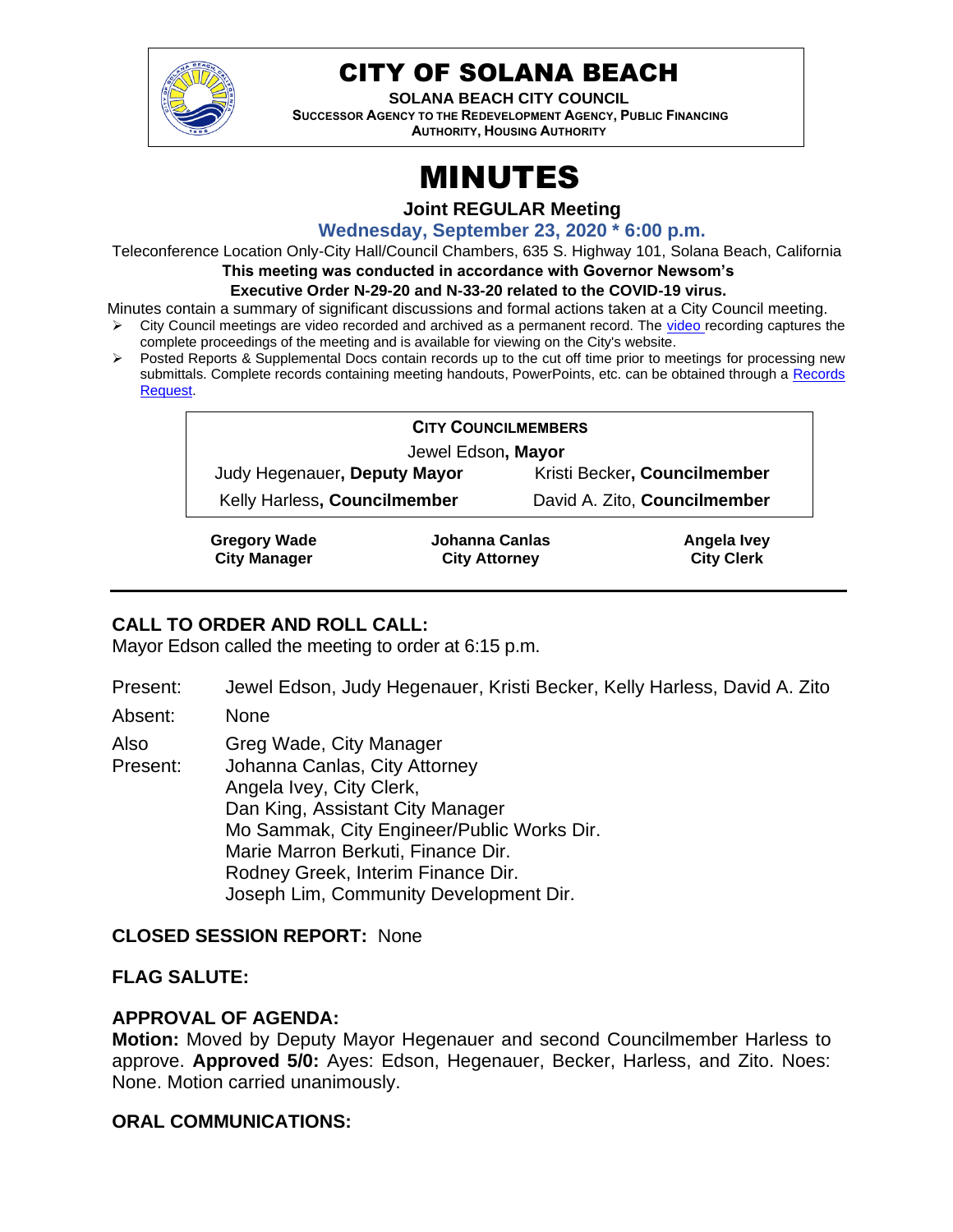

# CITY OF SOLANA BEACH

**SOLANA BEACH CITY COUNCIL SUCCESSOR AGENCY TO THE REDEVELOPMENT AGENCY, PUBLIC FINANCING AUTHORITY, HOUSING AUTHORITY** 

# MINUTES

**Joint REGULAR Meeting**

**Wednesday, September 23, 2020 \* 6:00 p.m.**

Teleconference Location Only-City Hall/Council Chambers, 635 S. Highway 101, Solana Beach, California

**This meeting was conducted in accordance with Governor Newsom's** 

#### **Executive Order N-29-20 and N-33-20 related to the COVID-19 virus.**

Minutes contain a summary of significant discussions and formal actions taken at a City Council meeting.

- ➢ City Council meetings are video recorded and archived as a permanent record. The [video r](https://solanabeach.12milesout.com/#page=1)ecording captures the complete proceedings of the meeting and is available for viewing on the City's website.
- Posted Reports & Supplemental Docs contain records up to the cut off time prior to meetings for processing new submittals. Complete records containing meeting handouts, PowerPoints, etc. can be obtained through a Records [Request.](http://www.ci.solana-beach.ca.us/index.asp?SEC=F5D45D10-70CE-4291-A27C-7BD633FC6742&Type=B_BASIC)

| <b>CITY COUNCILMEMBERS</b>   |                |  |                              |  |
|------------------------------|----------------|--|------------------------------|--|
| Jewel Edson, Mayor           |                |  |                              |  |
| Judy Hegenauer, Deputy Mayor |                |  | Kristi Becker, Councilmember |  |
| Kelly Harless, Councilmember |                |  | David A. Zito, Councilmember |  |
| Cronomi Mode                 | Iahanna Canlac |  | Angola Iyay                  |  |

**Gregory Wade City Manager**

**Johanna Canlas City Attorney**

**Angela Ivey City Clerk**

# **CALL TO ORDER AND ROLL CALL:**

Mayor Edson called the meeting to order at 6:15 p.m.

Present: Jewel Edson, Judy Hegenauer, Kristi Becker, Kelly Harless, David A. Zito

Absent: None

Also Greg Wade, City Manager

Present: Johanna Canlas, City Attorney Angela Ivey, City Clerk, Dan King, Assistant City Manager Mo Sammak, City Engineer/Public Works Dir. Marie Marron Berkuti, Finance Dir. Rodney Greek, Interim Finance Dir. Joseph Lim, Community Development Dir.

# **CLOSED SESSION REPORT:** None

# **FLAG SALUTE:**

# **APPROVAL OF AGENDA:**

**Motion:** Moved by Deputy Mayor Hegenauer and second Councilmember Harless to approve. **Approved 5/0:** Ayes: Edson, Hegenauer, Becker, Harless, and Zito. Noes: None. Motion carried unanimously.

# **ORAL COMMUNICATIONS:**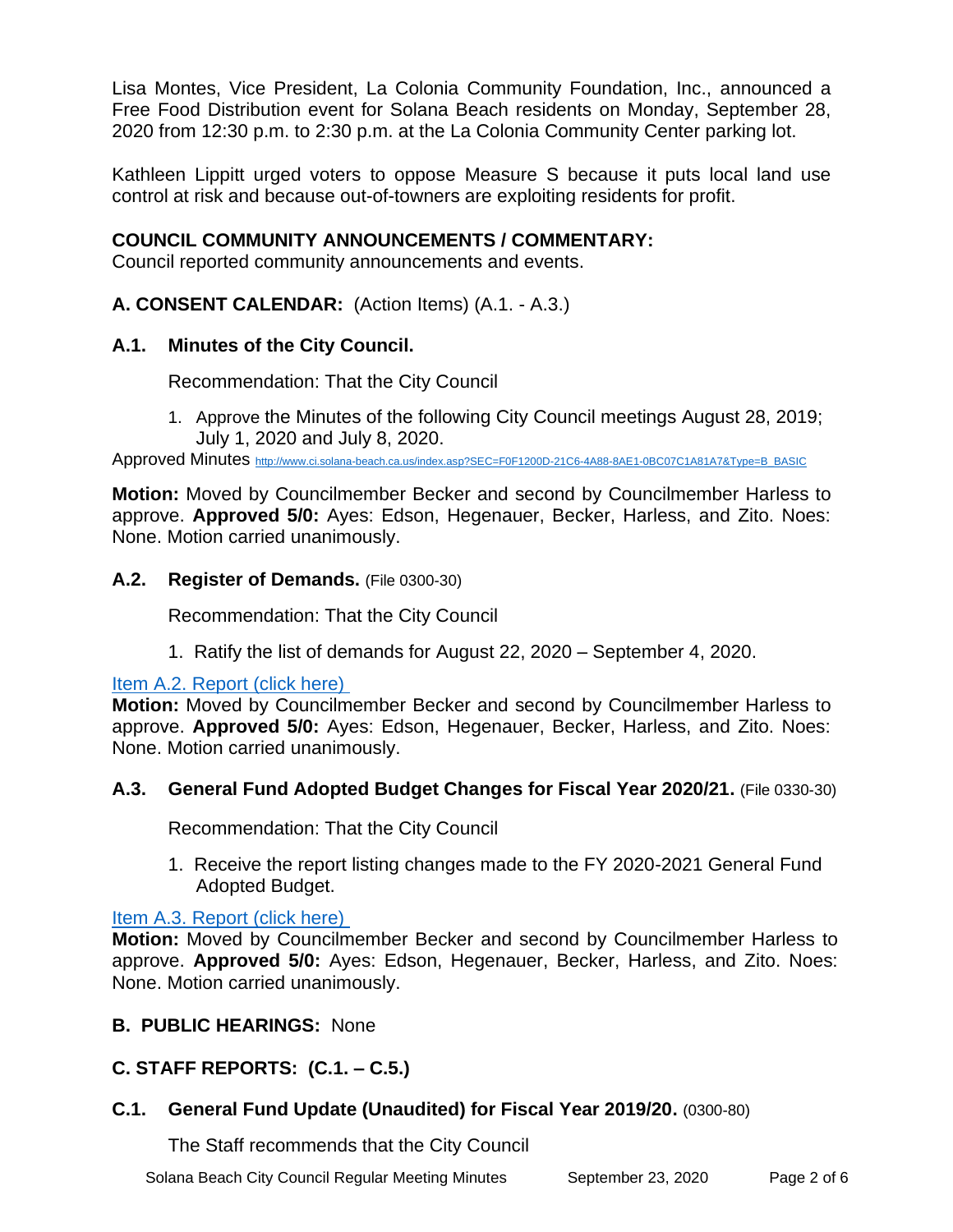Lisa Montes, Vice President, La Colonia Community Foundation, Inc., announced a Free Food Distribution event for Solana Beach residents on Monday, September 28, 2020 from 12:30 p.m. to 2:30 p.m. at the La Colonia Community Center parking lot.

Kathleen Lippitt urged voters to oppose Measure S because it puts local land use control at risk and because out-of-towners are exploiting residents for profit.

# **COUNCIL COMMUNITY ANNOUNCEMENTS / COMMENTARY:**

Council reported community announcements and events.

# **A. CONSENT CALENDAR:** (Action Items) (A.1. - A.3.)

# **A.1. Minutes of the City Council.**

Recommendation: That the City Council

1. Approve the Minutes of the following City Council meetings August 28, 2019; July 1, 2020 and July 8, 2020.

Approved Minutes [http://www.ci.solana-beach.ca.us/index.asp?SEC=F0F1200D-21C6-4A88-8AE1-0BC07C1A81A7&Type=B\\_BASIC](http://www.ci.solana-beach.ca.us/index.asp?SEC=F0F1200D-21C6-4A88-8AE1-0BC07C1A81A7&Type=B_BASIC)

**Motion:** Moved by Councilmember Becker and second by Councilmember Harless to approve. **Approved 5/0:** Ayes: Edson, Hegenauer, Becker, Harless, and Zito. Noes: None. Motion carried unanimously.

#### **A.2. Register of Demands.** (File 0300-30)

Recommendation: That the City Council

1. Ratify the list of demands for August 22, 2020 – September 4, 2020.

# [Item A.2. Report \(click here\)](https://solanabeach.govoffice3.com/vertical/Sites/%7B840804C2-F869-4904-9AE3-720581350CE7%7D/uploads/Item_A.2._Report_(click_here)_09-23-20_O.pdf)

**Motion:** Moved by Councilmember Becker and second by Councilmember Harless to approve. **Approved 5/0:** Ayes: Edson, Hegenauer, Becker, Harless, and Zito. Noes: None. Motion carried unanimously.

# **A.3. General Fund Adopted Budget Changes for Fiscal Year 2020/21.** (File 0330-30)

Recommendation: That the City Council

1. Receive the report listing changes made to the FY 2020-2021 General Fund Adopted Budget.

# [Item A.3. Report \(click here\)](https://solanabeach.govoffice3.com/vertical/Sites/%7B840804C2-F869-4904-9AE3-720581350CE7%7D/uploads/Item_A.3._Report_(click_here)_09-23-20_O.pdf)

**Motion:** Moved by Councilmember Becker and second by Councilmember Harless to approve. **Approved 5/0:** Ayes: Edson, Hegenauer, Becker, Harless, and Zito. Noes: None. Motion carried unanimously.

# **B. PUBLIC HEARINGS:** None

# **C. STAFF REPORTS: (C.1. – C.5.)**

# **C.1. General Fund Update (Unaudited) for Fiscal Year 2019/20.** (0300-80)

The Staff recommends that the City Council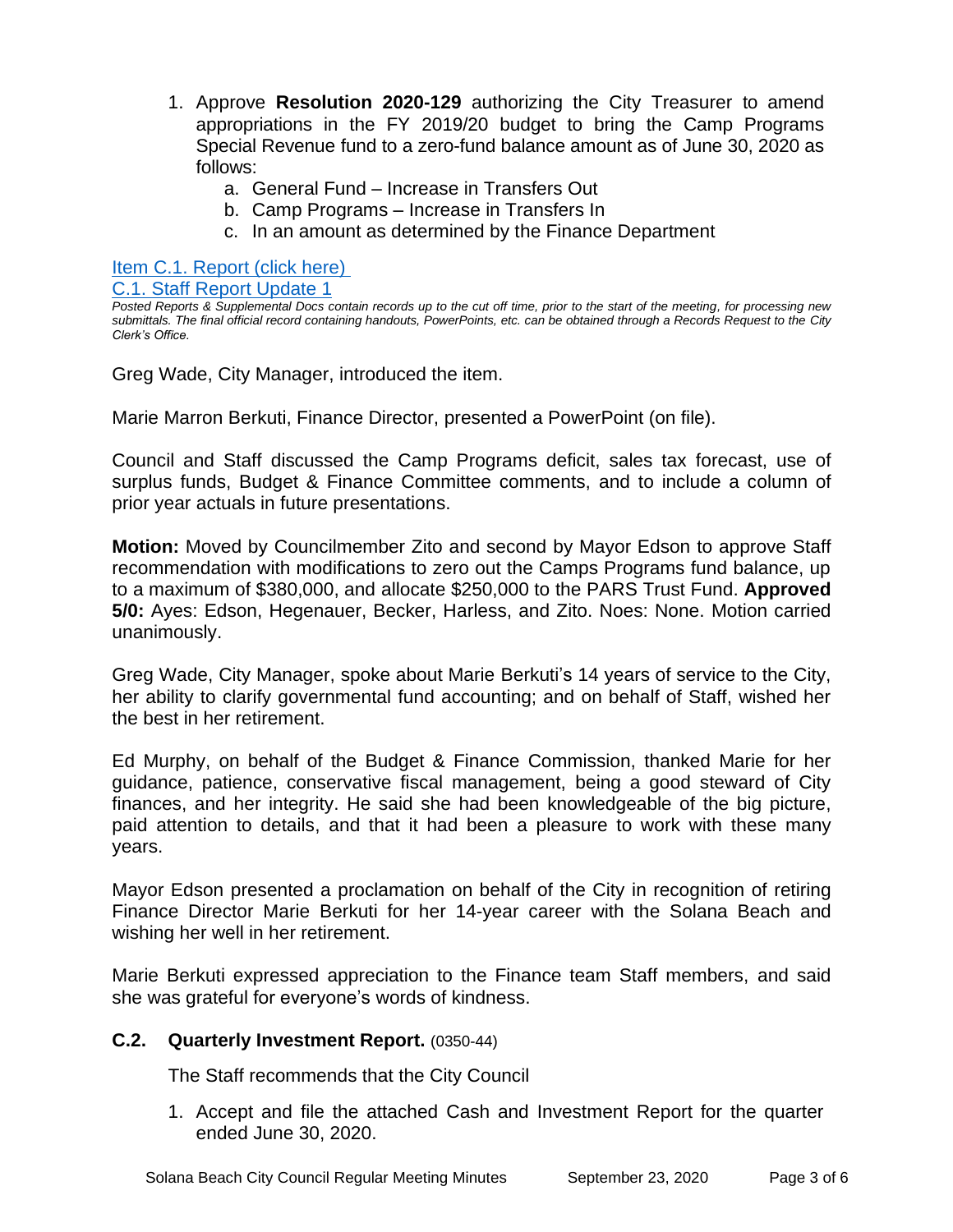- 1. Approve **Resolution 2020-129** authorizing the City Treasurer to amend appropriations in the FY 2019/20 budget to bring the Camp Programs Special Revenue fund to a zero-fund balance amount as of June 30, 2020 as follows:
	- a. General Fund Increase in Transfers Out
	- b. Camp Programs Increase in Transfers In
	- c. In an amount as determined by the Finance Department

[Item C.1. Report \(click here\)](https://solanabeach.govoffice3.com/vertical/Sites/%7B840804C2-F869-4904-9AE3-720581350CE7%7D/uploads/Item_C.1._Report_(click_here)_09-23-20_O.pdf) 

#### [C.1. Staff Report Update 1](https://solanabeach.govoffice3.com/vertical/Sites/%7B840804C2-F869-4904-9AE3-720581350CE7%7D/uploads/C.1._Staff_Report_Update_1_(09-23-20).pdf)

Greg Wade, City Manager, introduced the item.

Marie Marron Berkuti, Finance Director, presented a PowerPoint (on file).

Council and Staff discussed the Camp Programs deficit, sales tax forecast, use of surplus funds, Budget & Finance Committee comments, and to include a column of prior year actuals in future presentations.

**Motion:** Moved by Councilmember Zito and second by Mayor Edson to approve Staff recommendation with modifications to zero out the Camps Programs fund balance, up to a maximum of \$380,000, and allocate \$250,000 to the PARS Trust Fund. **Approved 5/0:** Ayes: Edson, Hegenauer, Becker, Harless, and Zito. Noes: None. Motion carried unanimously.

Greg Wade, City Manager, spoke about Marie Berkuti's 14 years of service to the City, her ability to clarify governmental fund accounting; and on behalf of Staff, wished her the best in her retirement.

Ed Murphy, on behalf of the Budget & Finance Commission, thanked Marie for her guidance, patience, conservative fiscal management, being a good steward of City finances, and her integrity. He said she had been knowledgeable of the big picture, paid attention to details, and that it had been a pleasure to work with these many years.

Mayor Edson presented a proclamation on behalf of the City in recognition of retiring Finance Director Marie Berkuti for her 14-year career with the Solana Beach and wishing her well in her retirement.

Marie Berkuti expressed appreciation to the Finance team Staff members, and said she was grateful for everyone's words of kindness.

# **C.2. Quarterly Investment Report.** (0350-44)

The Staff recommends that the City Council

1. Accept and file the attached Cash and Investment Report for the quarter ended June 30, 2020.

*Posted Reports & Supplemental Docs contain records up to the cut off time, prior to the start of the meeting, for processing new submittals. The final official record containing handouts, PowerPoints, etc. can be obtained through a Records Request to the City Clerk's Office.*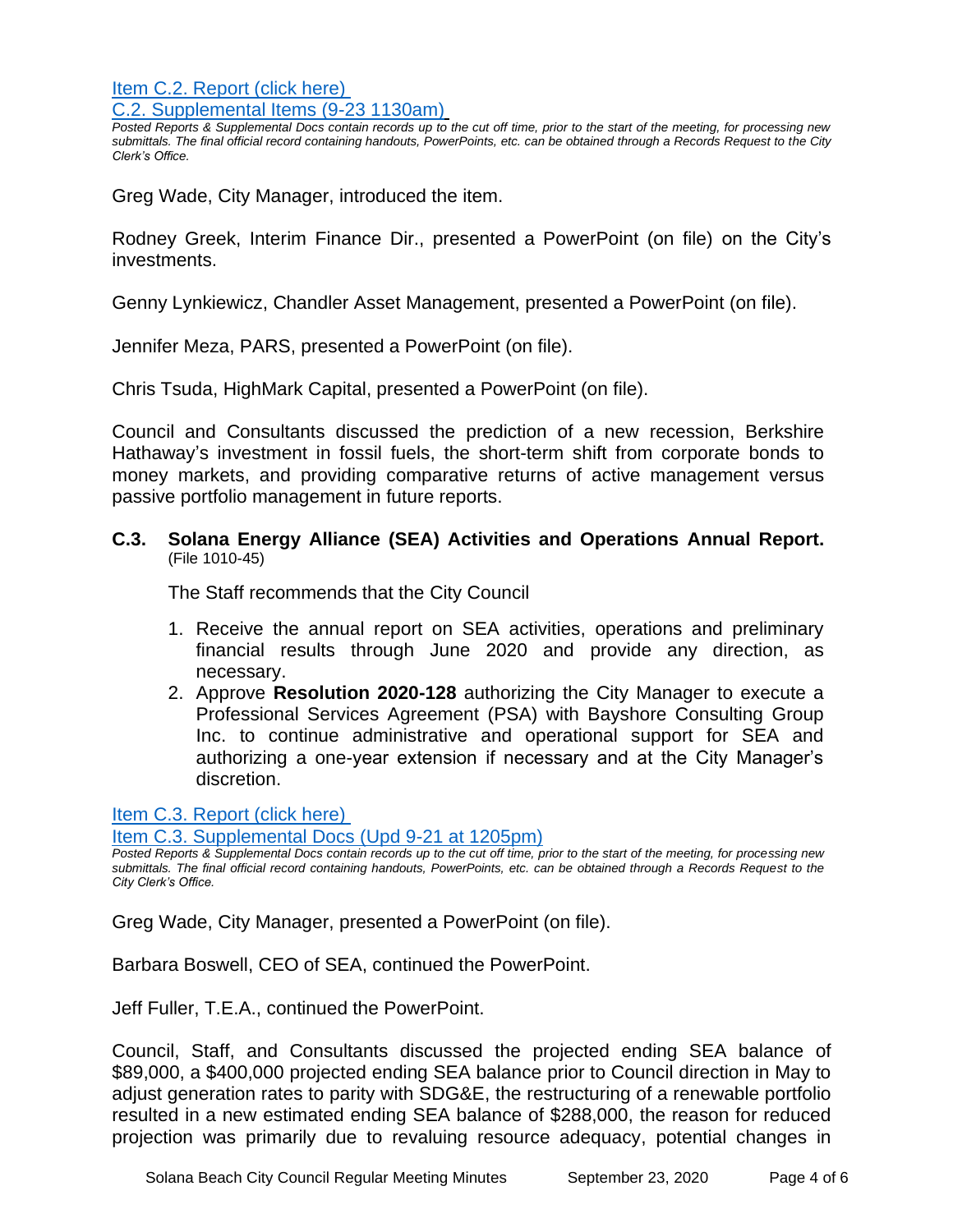[Item C.2. Report \(click here\)](https://solanabeach.govoffice3.com/vertical/Sites/%7B840804C2-F869-4904-9AE3-720581350CE7%7D/uploads/Item_C.2._Report_(click_here)_09-23-20_O.pdf)  [C.2. Supplemental Items \(9-23 1130am\)](https://solanabeach.govoffice3.com/vertical/Sites/%7B840804C2-F869-4904-9AE3-720581350CE7%7D/uploads/C.2._-_Supplemental_Items_(9-23-20_1130am)_-_O.pdf)

*Posted Reports & Supplemental Docs contain records up to the cut off time, prior to the start of the meeting, for processing new submittals. The final official record containing handouts, PowerPoints, etc. can be obtained through a Records Request to the City Clerk's Office.*

Greg Wade, City Manager, introduced the item.

Rodney Greek, Interim Finance Dir., presented a PowerPoint (on file) on the City's investments.

Genny Lynkiewicz, Chandler Asset Management, presented a PowerPoint (on file).

Jennifer Meza, PARS, presented a PowerPoint (on file).

Chris Tsuda, HighMark Capital, presented a PowerPoint (on file).

Council and Consultants discussed the prediction of a new recession, Berkshire Hathaway's investment in fossil fuels, the short-term shift from corporate bonds to money markets, and providing comparative returns of active management versus passive portfolio management in future reports.

#### **C.3. Solana Energy Alliance (SEA) Activities and Operations Annual Report.** (File 1010-45)

The Staff recommends that the City Council

- 1. Receive the annual report on SEA activities, operations and preliminary financial results through June 2020 and provide any direction, as necessary.
- 2. Approve **Resolution 2020-128** authorizing the City Manager to execute a Professional Services Agreement (PSA) with Bayshore Consulting Group Inc. to continue administrative and operational support for SEA and authorizing a one-year extension if necessary and at the City Manager's discretion.

[Item C.3. Report \(click here\)](https://solanabeach.govoffice3.com/vertical/Sites/%7B840804C2-F869-4904-9AE3-720581350CE7%7D/uploads/Item_C.3._Report_(click_here)_09-23-20_O.pdf) 

[Item C.3. Supplemental Docs \(Upd 9-21 at 1205pm\)](https://solanabeach.govoffice3.com/vertical/Sites/%7B840804C2-F869-4904-9AE3-720581350CE7%7D/uploads/Item_C.3._Supplemental_Docs_(Upd_9-21_at_1205pm)(1).pdf)

*Posted Reports & Supplemental Docs contain records up to the cut off time, prior to the start of the meeting, for processing new submittals. The final official record containing handouts, PowerPoints, etc. can be obtained through a Records Request to the City Clerk's Office.*

Greg Wade, City Manager, presented a PowerPoint (on file).

Barbara Boswell, CEO of SEA, continued the PowerPoint.

Jeff Fuller, T.E.A., continued the PowerPoint.

Council, Staff, and Consultants discussed the projected ending SEA balance of \$89,000, a \$400,000 projected ending SEA balance prior to Council direction in May to adjust generation rates to parity with SDG&E, the restructuring of a renewable portfolio resulted in a new estimated ending SEA balance of \$288,000, the reason for reduced projection was primarily due to revaluing resource adequacy, potential changes in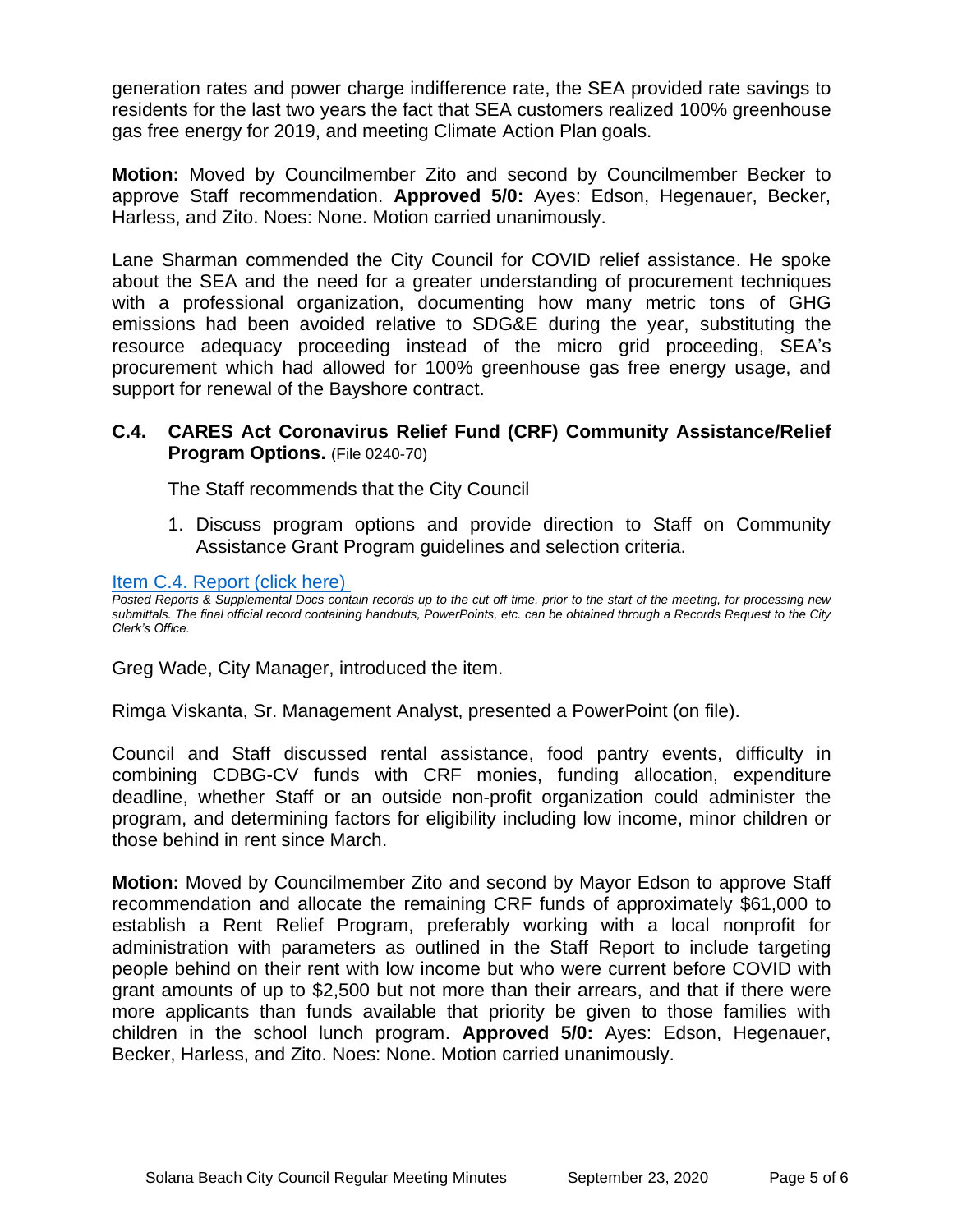generation rates and power charge indifference rate, the SEA provided rate savings to residents for the last two years the fact that SEA customers realized 100% greenhouse gas free energy for 2019, and meeting Climate Action Plan goals.

**Motion:** Moved by Councilmember Zito and second by Councilmember Becker to approve Staff recommendation. **Approved 5/0:** Ayes: Edson, Hegenauer, Becker, Harless, and Zito. Noes: None. Motion carried unanimously.

Lane Sharman commended the City Council for COVID relief assistance. He spoke about the SEA and the need for a greater understanding of procurement techniques with a professional organization, documenting how many metric tons of GHG emissions had been avoided relative to SDG&E during the year, substituting the resource adequacy proceeding instead of the micro grid proceeding, SEA's procurement which had allowed for 100% greenhouse gas free energy usage, and support for renewal of the Bayshore contract.

# **C.4. CARES Act Coronavirus Relief Fund (CRF) Community Assistance/Relief Program Options.** (File 0240-70)

The Staff recommends that the City Council

1. Discuss program options and provide direction to Staff on Community Assistance Grant Program guidelines and selection criteria.

#### Item C.4. Report (click here)

*Posted Reports & Supplemental Docs contain records up to the cut off time, prior to the start of the meeting, for processing new submittals. The final official record containing handouts, PowerPoints, etc. can be obtained through a Records Request to the City Clerk's Office.*

Greg Wade, City Manager, introduced the item.

Rimga Viskanta, Sr. Management Analyst, presented a PowerPoint (on file).

Council and Staff discussed rental assistance, food pantry events, difficulty in combining CDBG-CV funds with CRF monies, funding allocation, expenditure deadline, whether Staff or an outside non-profit organization could administer the program, and determining factors for eligibility including low income, minor children or those behind in rent since March.

**Motion:** Moved by Councilmember Zito and second by Mayor Edson to approve Staff recommendation and allocate the remaining CRF funds of approximately \$61,000 to establish a Rent Relief Program, preferably working with a local nonprofit for administration with parameters as outlined in the Staff Report to include targeting people behind on their rent with low income but who were current before COVID with grant amounts of up to \$2,500 but not more than their arrears, and that if there were more applicants than funds available that priority be given to those families with children in the school lunch program. **Approved 5/0:** Ayes: Edson, Hegenauer, Becker, Harless, and Zito. Noes: None. Motion carried unanimously.